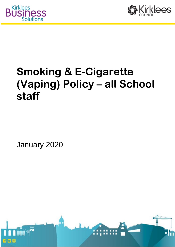



# **Smoking & E-Cigarette (Vaping) Policy – all School staff**

January 2020

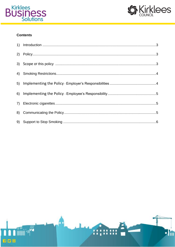



## **Contents**

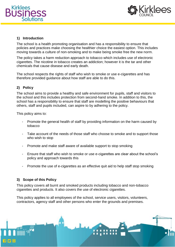



#### <span id="page-2-0"></span>**1) Introduction**

The school is a health promoting organisation and has a responsibility to ensure that policies and practices make choosing the healthier choice the easiest option. This includes moving towards a culture of non-smoking and to make being smoke free the new norm.

The policy takes a harm reduction approach to tobacco which includes use of electronic cigarettes. The nicotine in tobacco creates an addiction; however it is the tar and other chemicals that cause disease and early death.

The school respects the rights of staff who wish to smoke or use e-cigarettes and has therefore provided guidance about how staff are able to do this.

## <span id="page-2-1"></span>**2) Policy**

The school aims to provide a healthy and safe environment for pupils, staff and visitors to the school and this includes protection from second-hand smoke. In addition to this, the school has a responsibility to ensure that staff are modelling the positive behaviours that others, staff and pupils included, can aspire to by adhering to the policy.

This policy aims to:

- Promote the general health of staff by providing information on the harm caused by tobacco
- Take account of the needs of those staff who choose to smoke and to support those who wish to stop
- Promote and make staff aware of available support to stop smoking
- Ensure that staff who wish to smoke or use e-cigarettes are clear about the school's policy and approach towards this
- <span id="page-2-2"></span>- Promote the use of e-cigarettes as an effective quit aid to help staff stop smoking

#### **3) Scope of this Policy**

This policy covers all burnt and smoked products including tobacco and non-tobacco cigarettes and products. It also covers the use of electronic cigarettes.

This policy applies to all employees of the school, service users, visitors, volunteers, contractors, agency staff and other persons who enter the grounds and premises.

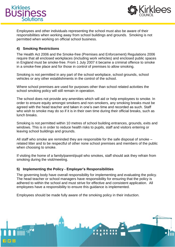



Employees and other individuals representing the school must also be aware of their responsibilities when working away from school buildings and grounds. Smoking is not permitted when working on official school business.

## <span id="page-3-0"></span>**4) Smoking Restrictions**

The Health Act 2006 and the Smoke-free (Premises and Enforcement) Regulations 2006 require that all enclosed workplaces (including work vehicles) and enclosed public spaces in England must be smoke-free. From 1 July 2007 it became a criminal offence to smoke in a smoke-free place and for those in control of premises to allow smoking.

Smoking is not permitted in any part of the school workplace, school grounds, school vehicles or any other establishments in the control of the school.

Where school premises are used for purposes other than school related activities the school smoking policy will still remain in operation.

The school does not provide any amenities which will aid or help employees to smoke. In order to ensure equity amongst smokers and non-smokers, any smoking breaks must be agreed with the head teacher and taken in one's own time and recorded as such. Staff who wish to smoke may do so if it is in their own time during their official breaks, such as lunch breaks.

Smoking is not permitted within 10 metres of school building entrances, grounds, exits and windows. This is in order to reduce health risks to pupils, staff and visitors entering or leaving school buildings and grounds.

All staff who smoke are reminded they are responsible for the safe disposal of smoke – related litter and to be respectful of other none school premises and members of the public when choosing to smoke.

<span id="page-3-1"></span>If visiting the home of a family/parent/pupil who smokes, staff should ask they refrain from smoking during the visit/meeting.

## **5) Implementing the Policy - Employer's Responsibilities**

The governing body have overall responsibility for implementing and evaluating the policy. The head teacher or school managers have responsibility for ensuring that the policy is adhered to within the school and must strive for effective and consistent application. All employees have a responsibility to ensure this guidance is implemented.

Employees should be made fully aware of the smoking policy in their induction.

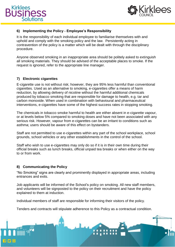



# <span id="page-4-0"></span>**6) Implementing the Policy - Employee's Responsibility**

It is the responsibility of each individual employee to familiarise themselves with and uphold and comply with the smoking policy and the law. Persistently acting in contravention of the policy is a matter which will be dealt with through the disciplinary procedure.

Anyone observed smoking in an inappropriate area should be politely asked to extinguish all smoking materials. They should be advised of the acceptable places to smoke. If the request is ignored, refer to the appropriate line manager.

#### <span id="page-4-1"></span>**7) Electronic cigarettes**

E-cigarette use is not without risk; however, they are 95% less harmful than conventional cigarettes. Used as an alternative to smoking, e-cigarettes offer a means of harm reduction, by allowing delivery of nicotine without the harmful additional chemicals produced by tobacco smoking that are responsible for damage to health, e.g. tar and carbon monoxide. When used in combination with behavioural and pharmaceutical interventions, e-cigarettes have some of the highest success rates in stopping smoking.

The chemicals in tobacco smoke harmful to health are either absent in e-cigarette vapour, or at levels below 5% compared to smoking doses and have not been associated with any serious risk. However, vapour from e-cigarettes can be an irritant to conditions such as asthma; users should be aware of this effect on bystanders.

Staff are not permitted to use e-cigarettes within any part of the school workplace, school grounds, school vehicles or any other establishments in the control of the school.

Staff who wish to use e-cigarettes may only do so if it is in their own time during their official breaks such as lunch breaks, official unpaid tea breaks or when either on the way to or from work.

#### <span id="page-4-2"></span>**8) Communicating the Policy**

"No Smoking" signs are clearly and prominently displayed in appropriate areas, including entrances and exits.

Job applicants will be informed of the School's policy on smoking. All new staff members, and volunteers will be signposted to the policy on their recruitment and have the policy explained to them at induction.

Individual members of staff are responsible for informing their visitors of the policy.

Tenders and contracts will stipulate adherence to this Policy as a contractual condition.